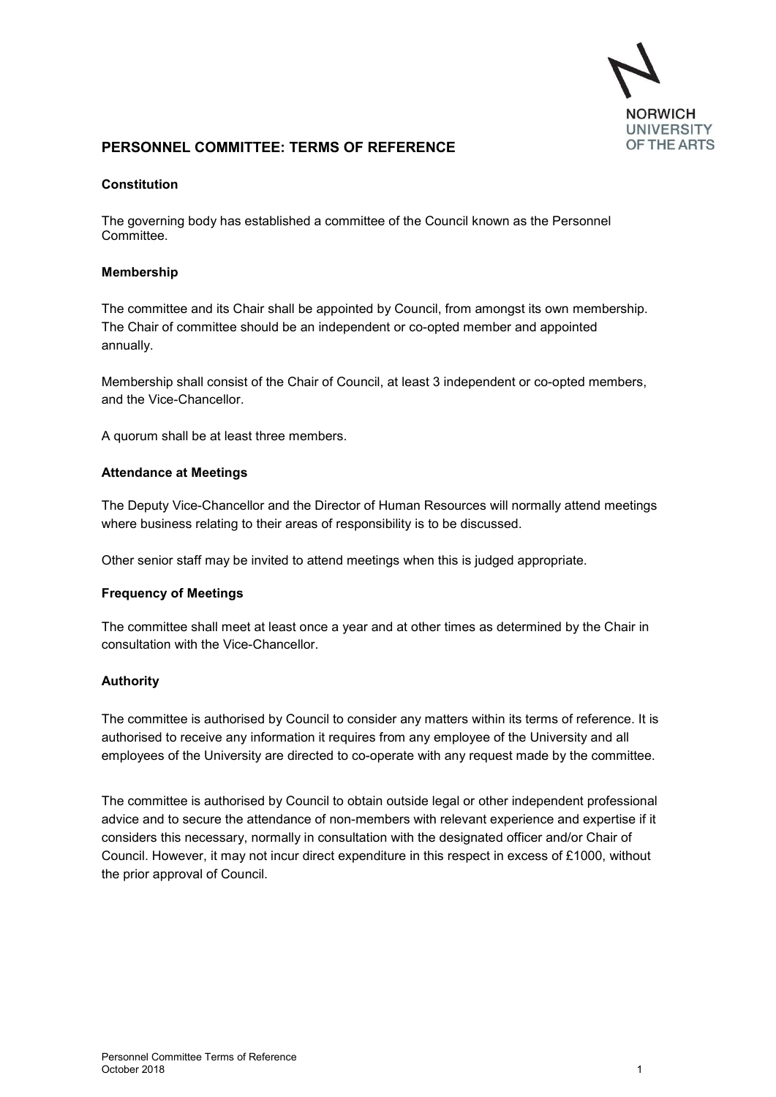

# **PERSONNEL COMMITTEE: TERMS OF REFERENCE**

#### **Constitution**

The governing body has established a committee of the Council known as the Personnel Committee.

#### **Membership**

The committee and its Chair shall be appointed by Council, from amongst its own membership. The Chair of committee should be an independent or co-opted member and appointed annually.

Membership shall consist of the Chair of Council, at least 3 independent or co-opted members, and the Vice-Chancellor.

A quorum shall be at least three members.

#### **Attendance at Meetings**

The Deputy Vice-Chancellor and the Director of Human Resources will normally attend meetings where business relating to their areas of responsibility is to be discussed.

Other senior staff may be invited to attend meetings when this is judged appropriate.

#### **Frequency of Meetings**

The committee shall meet at least once a year and at other times as determined by the Chair in consultation with the Vice-Chancellor.

### **Authority**

The committee is authorised by Council to consider any matters within its terms of reference. It is authorised to receive any information it requires from any employee of the University and all employees of the University are directed to co-operate with any request made by the committee.

The committee is authorised by Council to obtain outside legal or other independent professional advice and to secure the attendance of non-members with relevant experience and expertise if it considers this necessary, normally in consultation with the designated officer and/or Chair of Council. However, it may not incur direct expenditure in this respect in excess of £1000, without the prior approval of Council.